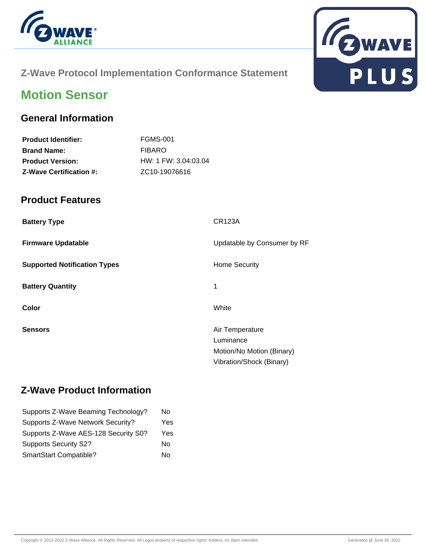



### **Z-Wave Protocol Implementation Conformance Statement**

# **Motion Sensor**

#### **General Information**

| <b>FGMS-001</b>            |
|----------------------------|
| <b>FIBARO</b>              |
| $HW: 1$ FW: 3.04:03.04     |
| ZC <sub>10</sub> -19076616 |
|                            |

#### **Product Features**

| <b>Battery Type</b>                 | <b>CR123A</b>                |
|-------------------------------------|------------------------------|
| <b>Firmware Updatable</b>           | Updatable by Consumer by RF  |
| <b>Supported Notification Types</b> | <b>Home Security</b>         |
| <b>Battery Quantity</b>             | 1                            |
| Color                               | White                        |
| <b>Sensors</b>                      | Air Temperature<br>Luminance |
|                                     | Motion/No Motion (Binary)    |
|                                     | Vibration/Shock (Binary)     |

#### **Z-Wave Product Information**

| Supports Z-Wave Beaming Technology?  | No  |
|--------------------------------------|-----|
| Supports Z-Wave Network Security?    | Yes |
| Supports Z-Wave AES-128 Security S0? | Yes |
| <b>Supports Security S2?</b>         | No  |
| SmartStart Compatible?               | No  |